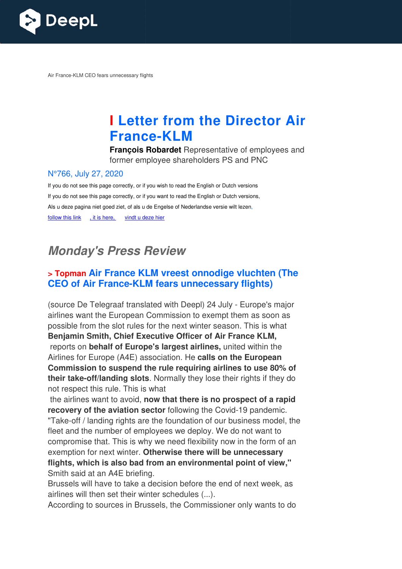

Air France-KLM CEO fears unnecessary flights

# **I Letter from the Director Air France France-KLM**

**François Robardet** Representative of employees and former employee shareholders PS and PNC

#### N°766, July 27, 2020

If you do not see this page correctly, or if you wish to read the English or Dutch versions If you do not see this page correctly, or if you want to read the English or Dutch versions, Als u deze pagina niet goed ziet, of als u de Engelse of Nederlandse versie wilt lezen, follow this link , it is here, vindt u deze hier

# **Monday's Press Review**

### **> Topman Air France KLM vreest onnodige vluchten (The CEO of Air France-KLM fears unnecessary flights)**

(source De Telegraaf translated with Deepl) 24 July - Europe's major airlines want the European Commission to exempt them as soon as possible from the slot rules for the next winter season. This is what **Benjamin Smith, Chief Executive Officer of Air France KLM,** reports on **behalf of Europe's largest airlines,** united within the Airlines for Europe (A4E) association. He calls on the European **Commission to suspend the rule requiring airlines to use 80% of their take-off/landing slots**. Normally they lose their rights if they do not respect this rule. This is what

 the airlines want to avoid, **now that there is no prospect of a rapid recovery of the aviation sector** following the Covid-19 pandemic. "Take-off / landing rights are the foundation of our business model, the fleet and the number of employees we deploy. We do not want to compromise that. This is why we need flexibility now in the form of an exemption for next winter. **Otherwise there will be unnecessary flights, which is also bad from an environmental point of view,"** Smith said at an A4E briefing. "Take-off / landing rights are the foundation of our business model, th<br>fleet and the number of employees we deploy. We do not want to<br>compromise that. This is why we need flexibility now in the form of an<br>exemption for ne

airlines will then set their winter schedules (...).

According to sources in Brussels, the Commissioner only wants to do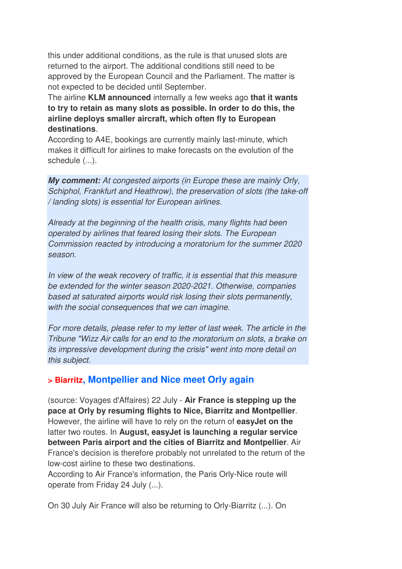this under additional conditions, as the rule is that unused slots are returned to the airport. The additional conditions still need to be approved by the European Council and the Parliament. The matter is not expected to be decided until September.

The airline **KLM announced** internally a few weeks ago **that it wants to try to retain as many slots as possible. In order to do this, the airline deploys smaller aircraft, which often fly to European destinations**.

According to A4E, bookings are currently mainly last-minute, which makes it difficult for airlines to make forecasts on the evolution of the schedule  $(...)$ .

**My comment:** *At congested airports (in Europe these are mainly Orly, Schiphol, Frankfurt and Heathrow), the preservation of slots (the take-off / landing slots) is essential for European airlines.* 

*Already at the beginning of the health crisis, many flights had been operated by airlines that feared losing their slots. The European Commission reacted by introducing a moratorium for the summer 2020 season.* 

*In view of the weak recovery of traffic, it is essential that this measure be extended for the winter season 2020-2021. Otherwise, companies based at saturated airports would risk losing their slots permanently, with the social consequences that we can imagine.* 

*For more details, please refer to my letter of last week. The article in the Tribune "Wizz Air calls for an end to the moratorium on slots, a brake on its impressive development during the crisis" went into more detail on this subject.*

#### **> Biarritz, Montpellier and Nice meet Orly again**

(source: Voyages d'Affaires) 22 July - **Air France is stepping up the pace at Orly by resuming flights to Nice, Biarritz and Montpellier**. However, the airline will have to rely on the return of **easyJet on the** latter two routes. In **August, easyJet is launching a regular service between Paris airport and the cities of Biarritz and Montpellier**. Air France's decision is therefore probably not unrelated to the return of the low-cost airline to these two destinations.

According to Air France's information, the Paris Orly-Nice route will operate from Friday 24 July (...).

On 30 July Air France will also be returning to Orly-Biarritz (...). On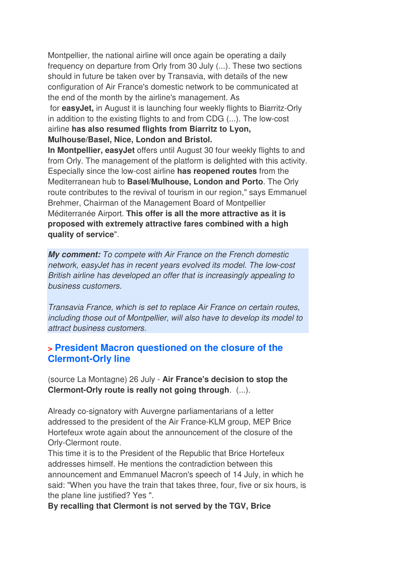Montpellier, the national airline will once again be operating a daily frequency on departure from Orly from 30 July (...). These two sections should in future be taken over by Transavia, with details of the new configuration of Air France's domestic network to be communicated at the end of the month by the airline's management. As for **easyJet,** in August it is launching four weekly flights to Biarritz-Orly in addition to the existing flights to and from CDG (...). The low-cost airline **has also resumed flights from Biarritz to Lyon, Mulhouse/Basel, Nice, London and Bristol.** 

**In Montpellier, easyJet** offers until August 30 four weekly flights to and from Orly. The management of the platform is delighted with this activity. Especially since the low-cost airline **has reopened routes** from the Mediterranean hub to **Basel/Mulhouse, London and Porto**. The Orly route contributes to the revival of tourism in our region," says Emmanuel Brehmer, Chairman of the Management Board of Montpellier Méditerranée Airport. **This offer is all the more attractive as it is proposed with extremely attractive fares combined with a high quality of service**".

**My comment:** *To compete with Air France on the French domestic network, easyJet has in recent years evolved its model. The low-cost British airline has developed an offer that is increasingly appealing to business customers.* 

*Transavia France, which is set to replace Air France on certain routes, including those out of Montpellier, will also have to develop its model to attract business customers.*

#### **> President Macron questioned on the closure of the Clermont-Orly line**

(source La Montagne) 26 July - **Air France's decision to stop the Clermont-Orly route is really not going through**. (...).

Already co-signatory with Auvergne parliamentarians of a letter addressed to the president of the Air France-KLM group, MEP Brice Hortefeux wrote again about the announcement of the closure of the Orly-Clermont route.

This time it is to the President of the Republic that Brice Hortefeux addresses himself. He mentions the contradiction between this announcement and Emmanuel Macron's speech of 14 July, in which he said: "When you have the train that takes three, four, five or six hours, is the plane line justified? Yes ".

**By recalling that Clermont is not served by the TGV, Brice**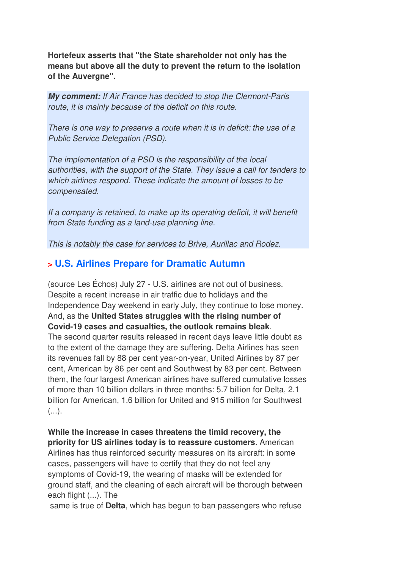**Hortefeux asserts that "the State shareholder not only has the means but above all the duty to prevent the return to the isolation of the Auvergne".**

**My comment:** *If Air France has decided to stop the Clermont-Paris route, it is mainly because of the deficit on this route.* 

*There is one way to preserve a route when it is in deficit: the use of a Public Service Delegation (PSD).* 

*The implementation of a PSD is the responsibility of the local authorities, with the support of the State. They issue a call for tenders to which airlines respond. These indicate the amount of losses to be compensated.* 

*If a company is retained, to make up its operating deficit, it will benefit from State funding as a land-use planning line.* 

*This is notably the case for services to Brive, Aurillac and Rodez.*

#### **> U.S. Airlines Prepare for Dramatic Autumn**

(source Les Échos) July 27 - U.S. airlines are not out of business. Despite a recent increase in air traffic due to holidays and the Independence Day weekend in early July, they continue to lose money. And, as the **United States struggles with the rising number of Covid-19 cases and casualties, the outlook remains bleak**.

The second quarter results released in recent days leave little doubt as to the extent of the damage they are suffering. Delta Airlines has seen its revenues fall by 88 per cent year-on-year, United Airlines by 87 per cent, American by 86 per cent and Southwest by 83 per cent. Between them, the four largest American airlines have suffered cumulative losses of more than 10 billion dollars in three months: 5.7 billion for Delta, 2.1 billion for American, 1.6 billion for United and 915 million for Southwest  $(\ldots)$ .

**While the increase in cases threatens the timid recovery, the priority for US airlines today is to reassure customers**. American Airlines has thus reinforced security measures on its aircraft: in some cases, passengers will have to certify that they do not feel any symptoms of Covid-19, the wearing of masks will be extended for ground staff, and the cleaning of each aircraft will be thorough between each flight (...). The

same is true of **Delta**, which has begun to ban passengers who refuse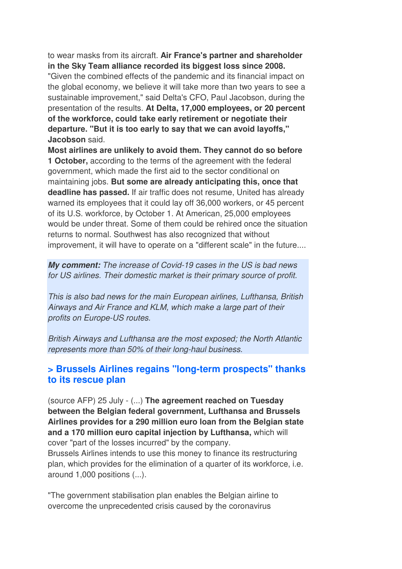to wear masks from its aircraft. **Air France's partner and shareholder in the Sky Team alliance recorded its biggest loss since 2008.**

"Given the combined effects of the pandemic and its financial impact on the global economy, we believe it will take more than two years to see a sustainable improvement," said Delta's CFO, Paul Jacobson, during the presentation of the results. **At Delta, 17,000 employees, or 20 percent of the workforce, could take early retirement or negotiate their departure. "But it is too early to say that we can avoid layoffs," Jacobson** said.

**Most airlines are unlikely to avoid them. They cannot do so before 1 October,** according to the terms of the agreement with the federal government, which made the first aid to the sector conditional on maintaining jobs. **But some are already anticipating this, once that deadline has passed.** If air traffic does not resume, United has already warned its employees that it could lay off 36,000 workers, or 45 percent of its U.S. workforce, by October 1. At American, 25,000 employees would be under threat. Some of them could be rehired once the situation returns to normal. Southwest has also recognized that without improvement, it will have to operate on a "different scale" in the future....

**My comment:** *The increase of Covid-19 cases in the US is bad news for US airlines. Their domestic market is their primary source of profit.* 

*This is also bad news for the main European airlines, Lufthansa, British Airways and Air France and KLM, which make a large part of their profits on Europe-US routes.* 

*British Airways and Lufthansa are the most exposed; the North Atlantic represents more than 50% of their long-haul business.*

#### **> Brussels Airlines regains "long-term prospects" thanks to its rescue plan**

(source AFP) 25 July - (...) **The agreement reached on Tuesday between the Belgian federal government, Lufthansa and Brussels Airlines provides for a 290 million euro loan from the Belgian state and a 170 million euro capital injection by Lufthansa,** which will cover "part of the losses incurred" by the company. Brussels Airlines intends to use this money to finance its restructuring plan, which provides for the elimination of a quarter of its workforce, i.e. around 1,000 positions (...).

"The government stabilisation plan enables the Belgian airline to overcome the unprecedented crisis caused by the coronavirus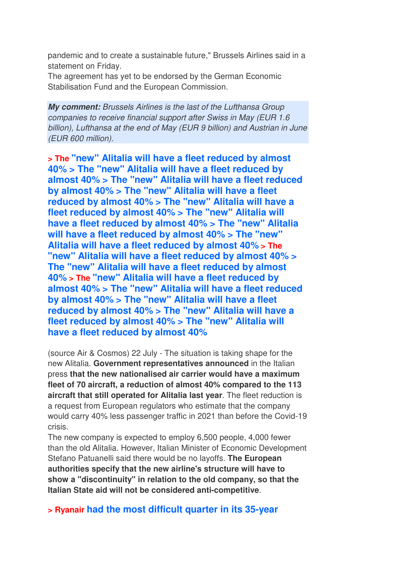pandemic and to create a sustainable future," Brussels Airlines said in a statement on Friday.

The agreement has yet to be endorsed by the German Economic Stabilisation Fund and the European Commission.

**My comment:** *Brussels Airlines is the last of the Lufthansa Group companies to receive financial support after Swiss in May (EUR 1.6 billion), Lufthansa at the end of May (EUR 9 billion) and Austrian in June (EUR 600 million).*

**> The "new" Alitalia will have a fleet reduced by almost 40% > The "new" Alitalia will have a fleet reduced by almost 40% > The "new" Alitalia will have a fleet reduced by almost 40% > The "new" Alitalia will have a fleet reduced by almost 40% > The "new" Alitalia will have a fleet reduced by almost 40% > The "new" Alitalia will have a fleet reduced by almost 40% > The "new" Alitalia will have a fleet reduced by almost 40% > The "new" Alitalia will have a fleet reduced by almost 40% > The "new" Alitalia will have a fleet reduced by almost 40% > The "new" Alitalia will have a fleet reduced by almost 40% > The "new" Alitalia will have a fleet reduced by almost 40% > The "new" Alitalia will have a fleet reduced by almost 40% > The "new" Alitalia will have a fleet reduced by almost 40% > The "new" Alitalia will have a fleet reduced by almost 40% > The "new" Alitalia will have a fleet reduced by almost 40%**

(source Air & Cosmos) 22 July - The situation is taking shape for the new Alitalia. **Government representatives announced** in the Italian press **that the new nationalised air carrier would have a maximum fleet of 70 aircraft, a reduction of almost 40% compared to the 113 aircraft that still operated for Alitalia last year**. The fleet reduction is a request from European regulators who estimate that the company would carry 40% less passenger traffic in 2021 than before the Covid-19 crisis.

The new company is expected to employ 6,500 people, 4,000 fewer than the old Alitalia. However, Italian Minister of Economic Development Stefano Patuanelli said there would be no layoffs. **The European authorities specify that the new airline's structure will have to show a "discontinuity" in relation to the old company, so that the Italian State aid will not be considered anti-competitive**.

**> Ryanair had the most difficult quarter in its 35-year**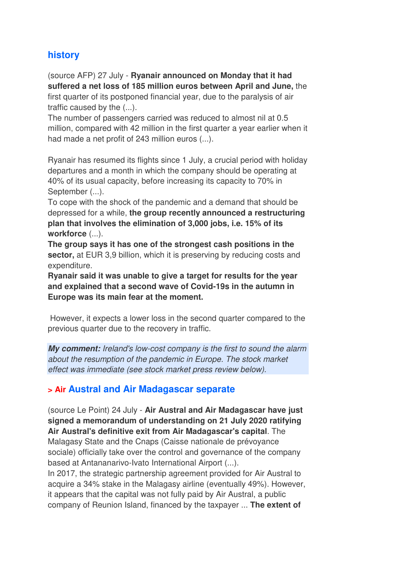## **history**

(source AFP) 27 July - **Ryanair announced on Monday that it had suffered a net loss of 185 million euros between April and June,** the first quarter of its postponed financial year, due to the paralysis of air traffic caused by the (...).

The number of passengers carried was reduced to almost nil at 0.5 million, compared with 42 million in the first quarter a year earlier when it had made a net profit of 243 million euros (...).

Ryanair has resumed its flights since 1 July, a crucial period with holiday departures and a month in which the company should be operating at 40% of its usual capacity, before increasing its capacity to 70% in September (...).

To cope with the shock of the pandemic and a demand that should be depressed for a while, **the group recently announced a restructuring plan that involves the elimination of 3,000 jobs, i.e. 15% of its workforce** (...).

**The group says it has one of the strongest cash positions in the sector,** at EUR 3,9 billion, which it is preserving by reducing costs and expenditure.

**Ryanair said it was unable to give a target for results for the year and explained that a second wave of Covid-19s in the autumn in Europe was its main fear at the moment.** 

 However, it expects a lower loss in the second quarter compared to the previous quarter due to the recovery in traffic.

**My comment:** *Ireland's low-cost company is the first to sound the alarm about the resumption of the pandemic in Europe. The stock market effect was immediate (see stock market press review below).*

#### **> Air Austral and Air Madagascar separate**

(source Le Point) 24 July - **Air Austral and Air Madagascar have just signed a memorandum of understanding on 21 July 2020 ratifying Air Austral's definitive exit from Air Madagascar's capital**. The Malagasy State and the Cnaps (Caisse nationale de prévoyance sociale) officially take over the control and governance of the company based at Antananarivo-Ivato International Airport (...).

In 2017, the strategic partnership agreement provided for Air Austral to acquire a 34% stake in the Malagasy airline (eventually 49%). However, it appears that the capital was not fully paid by Air Austral, a public company of Reunion Island, financed by the taxpayer ... **The extent of**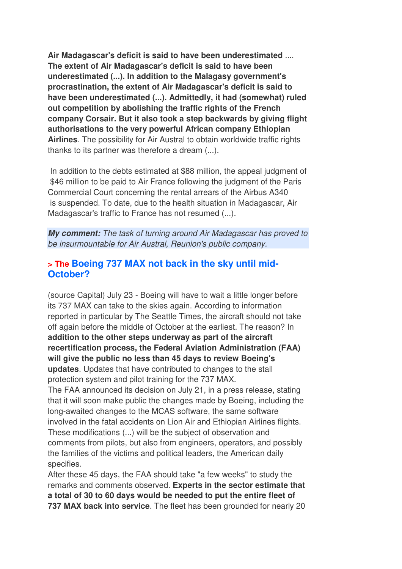**Air Madagascar's deficit is said to have been underestimated** .... **The extent of Air Madagascar's deficit is said to have been underestimated (...). In addition to the Malagasy government's procrastination, the extent of Air Madagascar's deficit is said to have been underestimated (...). Admittedly, it had (somewhat) ruled out competition by abolishing the traffic rights of the French company Corsair. But it also took a step backwards by giving flight authorisations to the very powerful African company Ethiopian Airlines**. The possibility for Air Austral to obtain worldwide traffic rights thanks to its partner was therefore a dream (...).

 In addition to the debts estimated at \$88 million, the appeal judgment of \$46 million to be paid to Air France following the judgment of the Paris Commercial Court concerning the rental arrears of the Airbus A340 is suspended. To date, due to the health situation in Madagascar, Air Madagascar's traffic to France has not resumed (...).

**My comment:** *The task of turning around Air Madagascar has proved to be insurmountable for Air Austral, Reunion's public company.*

#### **> The Boeing 737 MAX not back in the sky until mid-October?**

(source Capital) July 23 - Boeing will have to wait a little longer before its 737 MAX can take to the skies again. According to information reported in particular by The Seattle Times, the aircraft should not take off again before the middle of October at the earliest. The reason? In **addition to the other steps underway as part of the aircraft recertification process, the Federal Aviation Administration (FAA) will give the public no less than 45 days to review Boeing's updates**. Updates that have contributed to changes to the stall protection system and pilot training for the 737 MAX. The FAA announced its decision on July 21, in a press release, stating that it will soon make public the changes made by Boeing, including the long-awaited changes to the MCAS software, the same software involved in the fatal accidents on Lion Air and Ethiopian Airlines flights. These modifications (...) will be the subject of observation and comments from pilots, but also from engineers, operators, and possibly the families of the victims and political leaders, the American daily specifies.

After these 45 days, the FAA should take "a few weeks" to study the remarks and comments observed. **Experts in the sector estimate that a total of 30 to 60 days would be needed to put the entire fleet of 737 MAX back into service**. The fleet has been grounded for nearly 20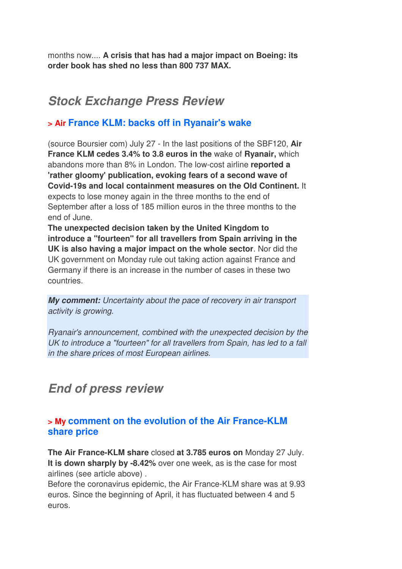months now.... **A crisis that has had a major impact on Boeing: its order book has shed no less than 800 737 MAX.**

# **Stock Exchange Press Review**

### **> Air France KLM: backs off in Ryanair's wake**

(source Boursier com) July 27 - In the last positions of the SBF120, **Air France KLM cedes 3.4% to 3.8 euros in the** wake of **Ryanair,** which abandons more than 8% in London. The low-cost airline **reported a 'rather gloomy' publication, evoking fears of a second wave of Covid-19s and local containment measures on the Old Continent.** It expects to lose money again in the three months to the end of September after a loss of 185 million euros in the three months to the end of June.

**The unexpected decision taken by the United Kingdom to introduce a "fourteen" for all travellers from Spain arriving in the UK is also having a major impact on the whole sector**. Nor did the UK government on Monday rule out taking action against France and Germany if there is an increase in the number of cases in these two countries.

**My comment:** *Uncertainty about the pace of recovery in air transport activity is growing.* 

*Ryanair's announcement, combined with the unexpected decision by the UK to introduce a "fourteen" for all travellers from Spain, has led to a fall in the share prices of most European airlines.*

# **End of press review**

#### **> My comment on the evolution of the Air France-KLM share price**

**The Air France-KLM share** closed **at 3.785 euros on** Monday 27 July. **It is down sharply by -8.42%** over one week, as is the case for most airlines (see article above) .

Before the coronavirus epidemic, the Air France-KLM share was at 9.93 euros. Since the beginning of April, it has fluctuated between 4 and 5 euros.